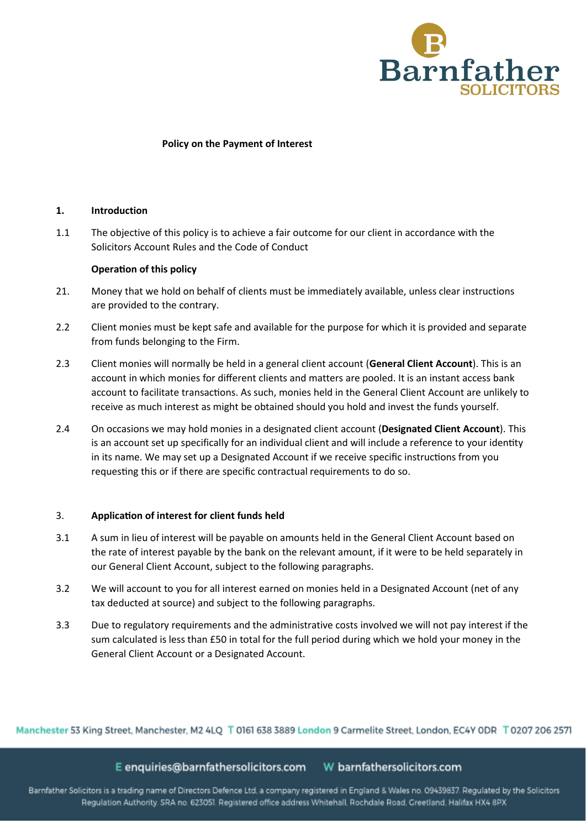

## **Policy on the Payment of Interest**

# **1. Introduction**

1.1 The objective of this policy is to achieve a fair outcome for our client in accordance with the Solicitors Account Rules and the Code of Conduct

## **Operation of this policy**

- 21. Money that we hold on behalf of clients must be immediately available, unless clear instructions are provided to the contrary.
- 2.2 Client monies must be kept safe and available for the purpose for which it is provided and separate from funds belonging to the Firm.
- 2.3 Client monies will normally be held in a general client account (**General Client Account**). This is an account in which monies for different clients and matters are pooled. It is an instant access bank account to facilitate transactions. As such, monies held in the General Client Account are unlikely to receive as much interest as might be obtained should you hold and invest the funds yourself.
- 2.4 On occasions we may hold monies in a designated client account (**Designated Client Account**). This is an account set up specifically for an individual client and will include a reference to your identity in its name. We may set up a Designated Account if we receive specific instructions from you requesting this or if there are specific contractual requirements to do so.

#### 3. **Applica�on of interest for client funds held**

- 3.1 A sum in lieu of interest will be payable on amounts held in the General Client Account based on the rate of interest payable by the bank on the relevant amount, if it were to be held separately in our General Client Account, subject to the following paragraphs.
- 3.2 We will account to you for all interest earned on monies held in a Designated Account (net of any tax deducted at source) and subject to the following paragraphs.
- 3.3 Due to regulatory requirements and the administrative costs involved we will not pay interest if the sum calculated is less than £50 in total for the full period during which we hold your money in the General Client Account or a Designated Account.

Manchester 53 King Street, Manchester, M2 4LQ T 0161 638 3889 London 9 Carmelite Street, London, EC4Y ODR T 0207 206 2571

E enquiries@barnfathersolicitors.com W barnfathersolicitors.com

Barnfather Solicitors is a trading name of Directors Defence Ltd, a company registered in England & Wales no. 09439837. Regulated by the Solicitors Regulation Authority. SRA no. 623051. Registered office address Whitehall, Rochdale Road, Greetland, Halifax HX4 8PX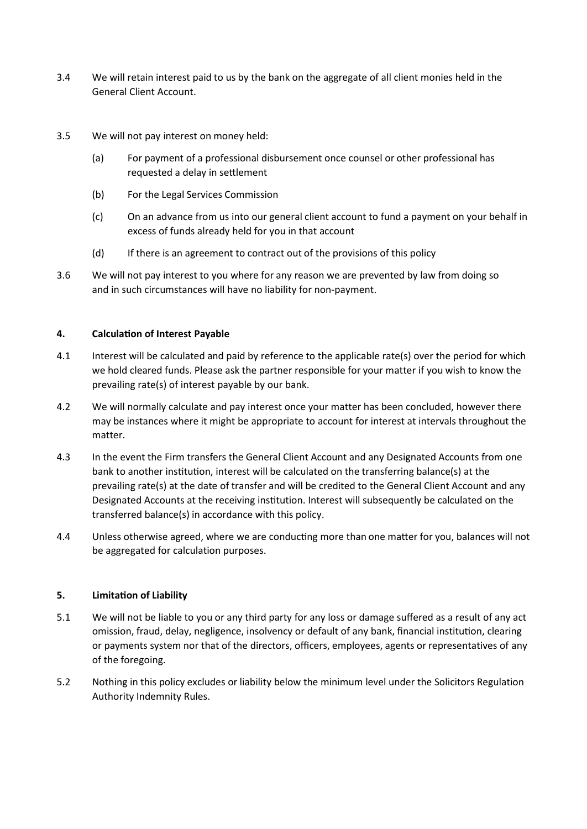- 3.4 We will retain interest paid to us by the bank on the aggregate of all client monies held in the General Client Account.
- 3.5 We will not pay interest on money held:
	- (a) For payment of a professional disbursement once counsel or other professional has requested a delay in settlement
	- (b) For the Legal Services Commission
	- (c) On an advance from us into our general client account to fund a payment on your behalf in excess of funds already held for you in that account
	- (d) If there is an agreement to contract out of the provisions of this policy
- 3.6 We will not pay interest to you where for any reason we are prevented by law from doing so and in such circumstances will have no liability for non-payment.

# **4. Calculation of Interest Payable**

- 4.1 Interest will be calculated and paid by reference to the applicable rate(s) over the period for which we hold cleared funds. Please ask the partner responsible for your matter if you wish to know the prevailing rate(s) of interest payable by our bank.
- 4.2 We will normally calculate and pay interest once your matter has been concluded, however there may be instances where it might be appropriate to account for interest at intervals throughout the matter.
- 4.3 In the event the Firm transfers the General Client Account and any Designated Accounts from one bank to another institution, interest will be calculated on the transferring balance(s) at the prevailing rate(s) at the date of transfer and will be credited to the General Client Account and any Designated Accounts at the receiving ins�tution. Interest will subsequently be calculated on the transferred balance(s) in accordance with this policy.
- 4.4 Unless otherwise agreed, where we are conducting more than one matter for you, balances will not be aggregated for calculation purposes.

# **5. Limitation of Liability**

- 5.1 We will not be liable to you or any third party for any loss or damage suffered as a result of any act omission, fraud, delay, negligence, insolvency or default of any bank, financial institution, clearing or payments system nor that of the directors, officers, employees, agents or representatives of any of the foregoing.
- 5.2 Nothing in this policy excludes or liability below the minimum level under the Solicitors Regulation Authority Indemnity Rules.